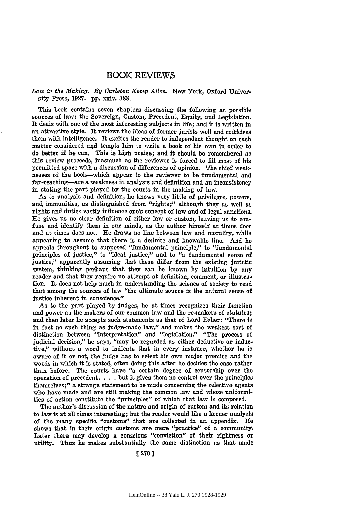## BOOK REVIEWS **BOOK REVIEWS**

*Law in the Making. By Carleton Kemp Allen.* New York, Oxford Univer-*Law in the Making. By Carleton Kemp Allen.* New York, Oxford University Press, **1927. pp.** xxiv, **388.** sity Press, 1927. pp. xxiv, 388.

This book contains seven chapters discussing the following as possible This book contains seven chapters discussing the following as possible sources of law: the Sovereign, Custom, Precedent, Equity, and Legislation. It deals with one of the most interesting subjects in life; and it is written in an attractive style. It reviews the ideas of former jurists well and criticises an attractive style. It reviews the ideas of former jurists well and criticises them with intelligence. It excites the reader to independent thought on each matter considered and tempts him to write a book of his own in order to do better if he can. This is high praise; and it should **be** remembered as do better if he can. This is high praise; and it should be remembered as this review proceeds, inasmuch as the reviewer is forced to **fll** most of his this review proceeds, inasmuch as the reviewer is forced to fill most of his permitted space with a discussion of differences of opinion. The chief weaknesses of the book-which appear to the reviewer to **be** fundamental and nesses of the book-which appear to the reviewer to be fundamental and far-reaching-are a weakness in analysis and definition and an inconsistency far-reaching-are a weakness in analysis and definition and an inconsistency in stating the part played by the courts in the making of law. in stating the part played by the courts in the making of law.

As to analysis and definition, he knows very little of privileges, powers, As to analysis and definition, he knows very little of privileges, powers, and immunities, as distinguished from "rights;" although they as well as and. immunities, as distinguished from "rights;" although they as well as rights and duties vastly influence one's concept of law and of legal sanctions. rights and duties vastly influence one's concept of law and of legal sanctions. He gives us no clear definition of either law or custom, leaving us to confuse and identify them in our minds, as the author himself at times does and at times does not. He draws no line between law and morality, while and at times does not. He draws no line between law and morality, while appearing to assume that there is a definite and knowable line. And he appeals throughout to supposed "fundamental principle," to "fundamental principles of justice," to "ideal justice," and to "a fundamental sense of justice," apparently assuming that these differ from the existing juristic justice," apparently assuming that these differ from the existing juristic<br>system, thinking perhaps that they can be known by intuition by any reader and that they require no attempt at definition, comment, or illustration. It does not help much in understanding the science of society to read tion. It does not help much in understanding the science of society to read that among the sources of law "the ultimate source is the natural sense of justice inherent in conscience." justice inherent in conscience."

As to the part played by judges, he at times recognizes their function As to the part played by judges, he at times recognizes their function and power as the makers of our common law and the re-makers of statutes; and power as the makers of our common law and the re-makers of statutes; and then later he accepts such statements as that of Lord Esher: "There is in fact no such thing as judge-made law," and makes the weakest sort of distinction between "interpretation" and "legislation." "The process of judicial decision," he says, "may be regarded as either deductive or inductive," without a word to indicate that in every instance, whether **he is** tive," without a word to indicate that in every instance, whether he is aware of it or not, the judge has to select his own major premise and the aware of it or not, the judge has to select his own major premise and the words in which it is stated, often doing this after he decides the case rather words in which it is stated, often doing this after he decides the case rather than before. The courts have "a certain degree of censorship over the than before. The courts have "a certain degree of censorship over the operation of precedent. . . . but it gives them no control over the principles<br>themselves;" a strange statement to be made concerning the selective agents themselves;" a strange statement to be made concerning the selective agents who have made and are still making the common law and whose uniformities of action constitute the "principles" of which that law is composed. and then later he accepts such statements as that of Lord Esher: "There is<br>in fact no such thing as judge-made law," and makes the weakest sort of distinction between "interpretation" and "legislation." "The process of

ties of action constitute the "principles" of which that law is composed.<br>The author's discussion of the nature and origin of custom and its relation to law is at all times interesting; but the reader would like a keener analysis of the many specific "customs" that are collected in an appendix. He<br>shows that in their origin customs are mere "practice" of a community. shows that in their origin customs are mere "practice" of a community. Later there may develop a conscious "conviction" of their rightness or utility. Thus he makes substantially the same distinction as that made utility. Thus he makes substantially the same distinction as that made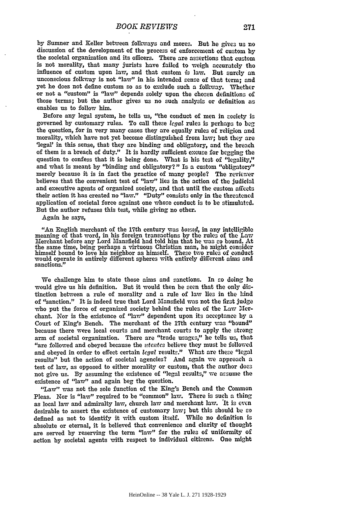by Sumner and Keller between folkways and mores. But he gives us no discussion of the development of the process of enforcement of custom by discussion of the development of the process of emorcement of custom by the societal organization and its officers. There are assertions that custom is not morality, that many jurists have failed to weigh accurately the is not morality, that many jurists have failed to weigh accurately the influence of custom upon law, and that custom *is* law. But surely an influence of custom upon law, and that custom is law. But surely an unconscious folkway is not "law" in his intended sense of that term; and unconscious folkway is not "law" in his intended sense of that term; and yet he does not define custom so as to exclude such a folkway. Whether or not a "custom" is "law' depends solely upon the chosen definitions of or not a "custom" is "law" depends solely upon the chosen definitions of those terms; but the author gives us no such analysis or definition as those terms; but the author gives us no such analysis or definition as enables us to follow him. enables us to follow him.

Before any legal system, he tells us, "the conduct of men in society is Before any legal system, he tells us, "the conduct of men in society is governed by customary rules. To call these *legal* rules is perhaps to beg the question, for in very many cases they are equally rules of religion and the question, for in very many cases they are equally rules of religion and morality, which have not yet become distinguished from law; but they are morality, which have not yet become distinguished from law; but they are 'legal' in this sense, that they are binding and obligatory, and the breach of them is a breach of duty." It is hardly sufficient excuse for begging the question to confess that it is being done. What is his test of "legality," and what is meant by "binding and obligatory?" Is a custom "obligatory" merely because it is in fact the practice of many people? The reviewer believes that the convenient test of "law' lies in the action of the judicial believes that the convenient test of ''law'' lies in the action of the judicial and executive agents of organized society, and that until the custom affects and executive agents of organized society, and that until the custom affects their action it has created no "law." "Duty" consists only in the threatened application of societal force against one whose conduct is to be stimulated. But the author refuses this test, while giving no other.<br>Again he says,

Again he says,

"An English merchant of the 17th century was *bound*, in any intelligible meaning of that word, in his foreign transactions by the **rules** of the Law meaning of that word, in his foreign transactions by the rules of the Merchant before any Lord Mansfield had told him that he vas so bound. At Merchant before any Lord Mansfield had told him that he 'was so hound. At the same time, being perhaps a virtuous Christian man, he might consider the same time, being perhaps a virtuous Christian man, he might consider himself bound to love his neighbor as himself. These two rules of conduct would operate in entirely different spheres with entirely different aims and would operate in entirely different spheres with entirely different aims sanctions." sanctions." himself bound to love his neighbor as himself. These two rules of conduct

We challenge him to state those aims and sanctions. In so doing he We challenge him to state those aims and sanctions. In so doing he would give us his definition. But it would then be seen that the only dis-would give us his definition. But it would then be seen that the only distinction between a rule of morality and a rule of law lies in the hind tinction between a rule of morality and a rule of law lies in the kind<br>of "sanction." It is indeed true that Lord Mansfield was not the first judge who put the force of organized society behind the rules of the Law Merchant. Nor is the existence of "law" dependent upon its acceptance by a Court of King's Bench. The merchant of the 17th century was "bound" Court of King's Bench. The merchant of the 17th century was "bound" because there were local courts and merchant courts to apply the strong because there were local courts and merchant courts to apply the strong arm of societal organization. There are "trade usages," he tells us, that arm of societal organization. There are "trade usages," he tells us, that "are followed and obeyed because the *utentes* believe they must be followed and obeyed in order to effect certain *legal* results." What are these "legal results" but the action of societal agencies? And again we approach a test of law, as opposed to either morality or custom, that the author does test of law, as opposed to either morality or custom, that the author does not give us. By assuming the existence of "legal results," we assume the existence of "law" and again beg the question.

"Law" was not the sole function of the King's Bench and the Common "Law" was not the sole function of the King's Bench and the Common<br>Pleas. Nor is "law" required to be "common" law. There is such a thing as local law and admiralty law, church law and merchant law. <sup>'</sup>It is even desirable to assert the existence of customary law; but this should be so desirable to assert the existence of customary law; but this should be so defined as not to identify it with custom itself. While no definition is absolute or eternal, it is believed that convenience and clarity of thought defined as not to identify it with custom itself. While no definition isabsolute or eternal, it is believed that convenience and clarity of thought are served by reserving the term "law" for the rules of uniformity of action by societal agents with respect to individual citizens. One might action by societal agents with respect to individual citizens. One might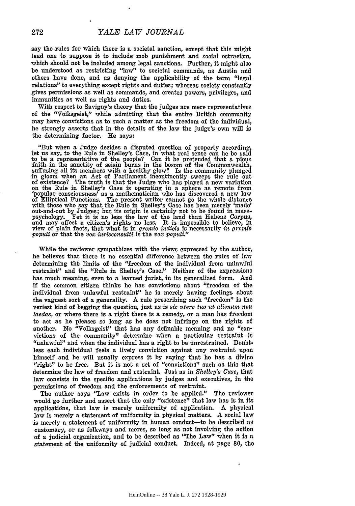say the rules for which there is a societal sanction, except that this might lead one to suppose it to include mob punishment and social ostracism, lead one to suppose it to include mob punishment and social ostracism, which should not be included among legal sanctions. Further, it might also which should not be included among legal sanctions. Further, it might also be understood as restricting *"law"* to societal commands, as Austin and be understood as restricting "law" to societal commands, as Austin and others have done, and as denying the applicability of the term "legal relations" to everything except rights and duties; whereas society constantly gives permissions as well as commands, and creates powers, privileges, and gives permissions as well as commands, and creates powers, privileges, and immunities as well as rights and duties.

With respect to Savigny's theory that the judges are mere representatives immunities as well as rights and duties.With respect to Savigny's theory that the judges are mere representatives of the "Volksgeist," while admitting that the entire British community of the "Volksgeist," while admitting that the entire British community may have convictions as to such a matter as the freedom of the individual, may have convictions as to such a matter as the freedom of the individunl, he strongly asserts that in the details of the law the judge's own will is he strongly asserts that in the details of the law the judge's own will is the determining factor. He says: the determining factor. He says:

"But when a Judge decides a disputed question of property according let us say, to the Rule in Shelley's Case, in what real sense can he be said to be a representative of the people? Can it be pretended that a pious faith in the sanctity of seisin burns in the bosom of the Commonwealth suffusing all its members with a healthy glow? Is the community plunged in gloom when an Act of Parliament incontinently sweeps the rule out of existence? The truth is that the Judge who has played a new variation on the Rule in Shelley's Case is operating in a sphere as remote from 'popular consciousness' as a mathematician who has discovered a new law of Elliptical Functions. The present writer cannot go the whole distance with those who say that the Rule in Shelley's Case has been merely 'made' out-and-out **by** Judges; but its origin is certainly not to **be** found in mass- psychology. Yet it is no less the law of the land than Habeas Corpus, out-and-out by Judges; but its origin is certainly not to be found in mass-<br>psychology. Yet it is no less the law of the land than Habeas Corpus,<br>and may affect a citizen's rights no less. It is impossible to believe, in<br>v *populi* or that the *vax iuri-sconsulti* is the *vax popudi." populi* or that the *'Vox iurisconsulti* is the *'Vox populi."* "But when <sup>a</sup> Judge decides <sup>a</sup> disputed question of property according let us say, to the Rule in Shelley's Case, in what real sense can he be said to be <sup>a</sup> representative of the people? Can it be pretended that <sup>a</sup> pious faith in the sanctity of seisin burns in the bosom of the Commonwealth suffusing all its members with <sup>a</sup> healthy glow? Is the community plunged in gloom when an Act of Parliament incontinently sweeps the rule out of existence? The truth is that the Judge who has played a new variation<br>on the Rule in Shelley's Case is operating in a sphere as remote from<br>'popular consciousness' as a mathematician who has discovered a new law<br>of Elli with those who say that the Rule in Shelley's Case has been merely 'made' view of plain facts, that what is in *gremio iudicis* is necessarily in *gremio* 

While the reviewer sympathizes with the views expressed by the author, he believes that there is no essential difference between the rules of law he believes that there is no essential difference between the rules of law determining thé limits of the "freedom of the individual from unlawful restraint" and the "Rule in Shelley's Case." Neither of the expressions has much meaning, even to a learned jurist, in its generalized form. And has much meaning, even to a learned jurist, in its generalized form. And if the common citizen thinks he has convictions about "freedom of the individual from unlawful restraint" he is merely having feelings about individual from unlawful restraint" he is merely having feelings about the vaguest sort of a generality. A rule prescribing such "freedom" is the the vaguest sort of a generality. A rule prescribing such "freedom" is the veriest kind of begging the question, just as is sie utere two ut alienum non laedas, or where there is a right there is a remedy, or a man has freedom to act as he pleases so long as he does not infringe on the rights of another. No "Volksgeist" that has any definable meaning and no "con-another. No "Volksgeist" that has any definable meaning and no "convictions of the community" determine when a particular restraint is "unlawful" and when the individual has a right to be unrestrained. Doubtless each individual feels a lively conviction against any restraint upon less each individual feels a lively conviction against any restraint upon himself and he will usually express it by saying that he has a divine "right" to be free. But it is not a set of "convictions" such as this that determine the law of freedom and restraint. Just as in *Shelley's Case,* that determine the law of freedom and restraint. Just as in *Shelley's Case,* that law consists in the specific applications **by** judges and executives, in the law consists in the specific applications by judges and executives, in tho permissions of freedom and the enforcements of restraint. permissions of freedom and the enforcements of restraint.

The author says "Law exists in order to be applied." The reviewer would go further and assert that the only "existence" that law has is in Its would go further and assert that the only "existence" that law has is in itsapplicatidns, that law is merely uniformity of application. <sup>A</sup> physical applicatidns, that law is merely uniformity of application. A physical law is merely a statement of uniformity in physical matters. A social law law is merely a statement of uniformity in physical matters. A social law<br>is merely a statement of uniformity in human conduct-to be described as customary, or as folkways and mores, so long as not involving the action customary, or as folkways and mores, so long as not involving the action of a judicial organization, and to **be** described as "The Law" when it is a of a judicial organization, and to be described as "The Law" when it is a statement of the uniformity of judicial conduct. Indeed, at page 80, the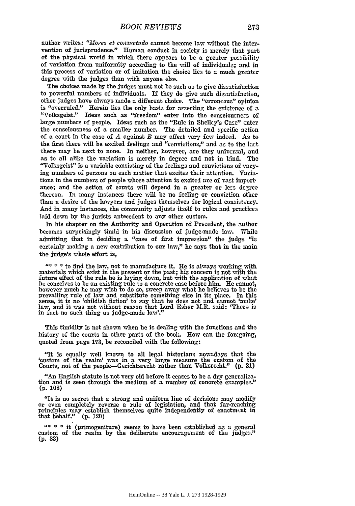author writes: "Mores et consuetudo cannot become law without the intervention of jurisprudence." Human conduct in society is merely that part of the physical world in which there appears to be a greater possibility of variation from uniformity according to the will of individuals; and in of variation from uniformity according to the will of individuals; and in this process of variation or of imitation the choice lies to a much greater degree with the judges than with anyone else. degree with the judges than with anyone else.

The choices made **by** the judges must not be such as to give dissatisfaction The choices made by the judges must not be such as to give dissatisfaction to powerful numbers of individuals. **If** they do give such dissatisfaction, to powerful numbers of individuals. If they do give such dissatisfaction, other judges have always made a different choice. The "erroneous" opinion other judges have always made a different choice. The "erroneous" opinion is "overruled." Herein lies the only basis for asserting the existence of a "Volksgeist." Ideas such as "freedom" enter into the consciousnezs **of** "Volksgeist." Ideas such as "freedom" enter into the consciousness of large numbers of people. Ideas such as the "Rule in Shellcy's Case" enter the consciousness of a smaller number. The detailed and specific action the consciousness of a smaller number. The detailed and specific action of a court in the case of A against B may affect very few indeed. As to the first there will be excited feelings and "convictions," and as to the last there may be next to none. In neither, however, are they universal, and as to all alike the variation is merely in degree and not in kind. The "Volksgeist" is a variable consisting of the feelings and convictions of varying numbers of persons on each matter that excites their attention. Variations in the numbers of people whose attention is excited are of vast impurt, tions in the numbers of people whose attention is excited are of vast importance; and the action of courts will depend in a greater or less degree thereon. In many instances there will be no feeling or conviction other thereon. In many instances there will be no feeling or conviction other than a desire of the lawyers and judges themselves for logical consistency. And in many instances, the community adjusts itself to rules and practices And in many instances, the community adjusts itself to rules and prnctices laid down **by** the jurists antecedent to any other custom. laid down by the jurists antecedent to any other custom.

In his chapter on the Authority and Operation of Precedent, the author In his chapter on the Authority and Operation of Precedent, the author becomes surprisingly timid in his discussion of judge-made law. While becomes surprisingly timid in his discussion of judge-made law. While<br>admitting that in deciding a "case of first impression" the judge "is certainly making a new contribution to our law," he says that in the main certainly making a new contribution to our law," he says that in the main the judge's whole effort is,

"<sup>\*</sup> \* \* to find the law, not to manufacture it. He is always working with materials which exist in the present or the past; his concern is not with the materials which exist in the present or the past; his concern is not with the<br>future effect of the rule he is laying down, but with the application of what he conceives to be an existing rule to a concrete case before him. He cannot, however much he may wish to do so, sweep away what he belicves to be the however much he may wish to do so, sweep away what he believes to be the prevailing rule of law and substitute something else in its place. In this sense, it is no 'childish fiction' to say that he does not and cannot 'mahe' law, and it was not without reason that Lord Esher M.R. said: 'There is in fact no such thing as judge-made law'." prevailing rule of law and substitute something else in its place. In this sense, it is no 'childish fiction' to say that he does not and cannot 'mal.e' law, and it was not without reason that Lord Esher M.R. said: 'There is<br>in fact no such thing as judge-made law'."

This timidity is not shown when he is dealing with the functions and the history of the courts in other parts of the book. How can the foregoing, quoted from page **173,** be reconciled with the following: history of the courts in other parts of the book. How can the forcgoing, quoted from page 173, be reconciled with the following:<br>"It is equally well known to all legal historians nowadays that the 'eustom of the realm' was

"It is equally well known to all legal historians nowadays that the

Courts, not of the people—Gerichtsrecht rather than Volksrecht." (p. S1)<br>"An English statute is not very old before it ceases to be a dry generaliza-<br>tion and is seen through the medium of a number of concrete examples."<br>( **"An** English statute is not very old before it ceases to be a dry generalization and is seen through the medium of a number of concrete examples." **(p. 108)**

"It is no secret that a strong and uniform line of decisions may modify or even completely reverse a rule of legislation, and that far-reaching "It is no secret that a strong and uniform line of decisions may modify<br>or even completely reverse a rule of legislation, and that far-reaching<br>principles may establish themselves quite independently of enactment in that behalf." (p. 120) that behalf." (p. 120)

 $\frac{4z}{z}$  \* \* it (primogeniture) seems to have been established as a general custom of the realm by the deliberate encouragement of the judges." custom of the realm **by** the deliberate encouragement of the judges." **(p. 83)** (p. 83)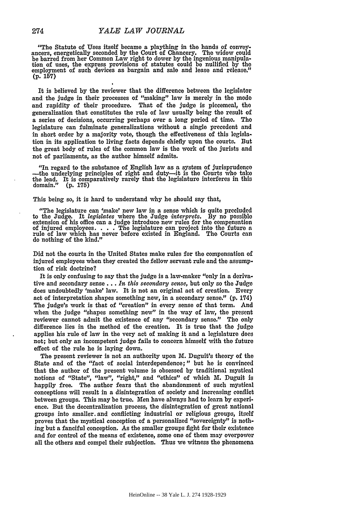"The Statute of Uses itself became a plaything in the hands of convey-"The Statute of Uses itself became a plaything in the hands of conveyancers, energetically seconded **by** the Court of Chancery. The widow could ancers, energetically seconded by the Court of Chancery. The widow could be barred from her Common Law right to dower **by** the ingenious manipula-tion of uses, the express provisions of statutes could **be** nullified **by** the be barred from her Common Law right to dower by the ingenious manipulation of uses, the express provisions of statutes could be nullified by the employment of such devices as bargain and sale and lease and release." (p. **157)** (p. 157)

It is believed by the reviewer that the difference between the legislator and the judge in their processes of "making" law is merely in the mode and rapidity of their procedure. That of the judge is piecemeal, the and rapidity of their procedure. That of the judge is piecemeal, tho generalization that constitutes the rule of law usually being the result of generalization that constitutes the rule of law usually being the result of a series of decisions, occurring perhaps over a long period of time. The legislature can fulminate generalizations without a single precedent and a series of decisions, occurring perhaps over a long period of time. The<br>legislature can fulminate generalizations without a single precedent and<br>in short order by a majority vote, though the effectiveness of this legislation in its application to living facts depends chiefly upon the courts. But tion in its application to living facts depends chiefly upon the courts. But the great body of rules of the common law is the work of the jurists and not of parliaments, as the author himself admits. not of parliaments, as the author himself admits.

"In regard to the substance of English law as a system of jurisprudence -the underlying principles of right and duty-it is the Courts who take "In regard to the substance of English law as a system of jurisprudence —the underlying principles of right and duty—it is the Courts who take the lead. It is comparatively rarely that the legislature interferes in this d

This being so, it is hard to understand why he should say that, This being so, it is hard to understand why he should say that,

"The legislature can 'make' new law in a sense which is quite precluded "The legislature can 'make' new law in a sense which is quite precluded the legislature can make hew law in a sense which is quite precided<br>to the Judge. It legislates where the Judge interprets. By no possible<br>extension of his office can a judge introduce new rules for the compensation<br>of inj of injured employees. . . . The legislature can project into the future a rule of law which has never before existed in England. The Courts can do nothing of the kind."

Did not the courts in the United States make rules for the compensation of Did not the courts in the United States make rules for the compensation of injured employees when they created the fellow servant rule and the assump-injured employees when they created the fellow servant rule and the assumption of risk doctrine? tion of risk doctrine?

It is only confusing to say that the judge is a law-maker "only in a derivative and secondary sense... *In this secondary sense,* but only so the Judge tive and secondary sense •.• *In this secondary sense,* but only so the Judgo does undoubtedly 'make' law. It is not an original act of creation. Every does undoubtedly 'make' law. It is not an original act of creation. Everyact of interpretation shapes something new, in <sup>a</sup> secondary sense." (p. 174) act of interpretation shapes something new, in a secondary sense." (p. 174) The judge's work is that of "creation" in every sense of that term. And The judge's work is that of "creation" in every sense of that term. And when the judge "shapes something new" in the way of law, the present when the judge "shapes something new" in the way of law, the present reviewer cannot admit the existence of any "secondary sense." The only difference lies in the method of the creation. It is true that the judge difference lies in the method of the creation. It is true that the judge applies his rule of law in the very act of making it and a legislature does applies his rule of law in the very act of making it and a legislaturo docs not; but only an incompetent judge fails to concern himself with the future not; but only an incompetent judge fails to concern himself with the future effect of the rule he is laying down. effect of the rule he is laying down.

The present reviewer is not an authority upon M. Duguit's theory of the The present reviewer is not an authority upon M. Duguit's theory of the<br>State and of the "fact of social interdependence;" but he is convinced that the author of the present volume is obsessed by traditional mystical that the author of the present volume is obsessed by traditional mystical notions of "State", "law", "right," and "ethics" of which M. Duguit is notions of "State", "law", "right," and "ethics" of which M. Duguit is happily free. The author fears that the abandonment of such mystical happily free. The author fears that the abandonment of such mystical conceptions will result in a disintegration of society and increasing conflict conceptions will result in a disintegration of society and increasing conflict between groups. This may be true. Men have always had to learn by experi-between groups. This may be true. Men have always had to learn by experience. But the decentralization process, the disintegration of great national ence. But the decentralization process, the disintegration of great national groups into smaller. and conflicting industrial or religious groups, itself groups into smaller. and conflicting industrial or religious groups, itself proves that the mystical conception of a personalized "sovereignty" is noth-proves that the mystical conception of a personalized "sovereignty" is nothing but a fanciful conception. As the smaller groups fight for their existence ing but a fanciful conception. As the smaller groups fight for their existence and for control of the means of existence, some one of them may overpower and for control of the means of existence, some one of them may overpower all the others and compel their subjection. Thus we witness the phenomena all the others and compel their subjection. Thus we witness the phenomena

*274*